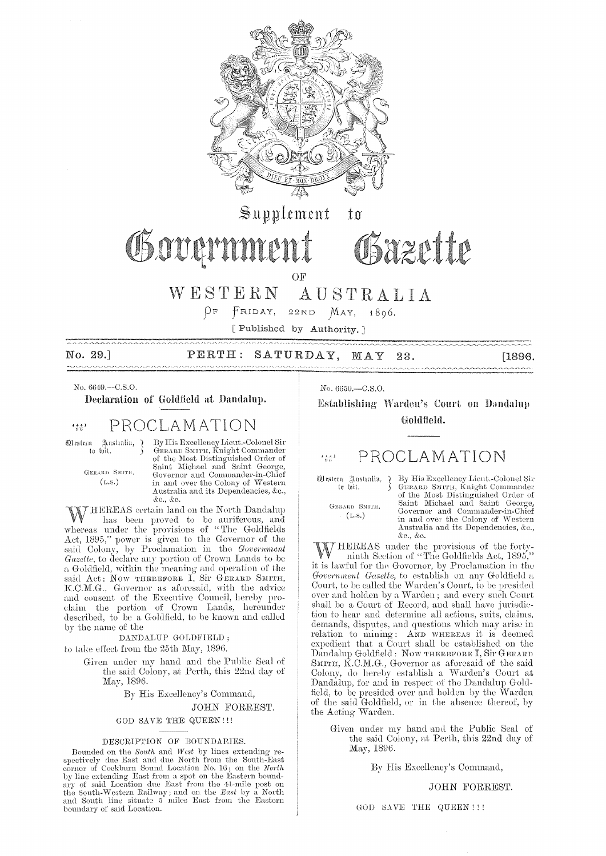

 $\mathbb{S}$ upplement  $t\mathfrak{a}$ 

# Governme

OF

WESTERN AUSTRALIA

 $\beta$ F  $F$ RIDAY, 22ND  $MAY$ , 1896.

[Published by Authority.]

No. 29.] PERTH: SATURDAY, MAY [1896. 23. ---------

No. 6649,--C.S.O.

Declaration of Goldfield at Dandalup.

#### PROCLAMATION  $4\frac{4}{9}\frac{4}{6}$ <sup>1</sup>

 $\mathbb{R}^{\text{natural},-}$  ) **Western** to loit.

GERARD SMITH.

 $(L.s.)$ 

By His Excellency Lieut.-Colonel Sir GERARD SMITH, Knight Commander<br>of the Most Distinguished Order of<br>Saint Michael and Saint George, Governor and Commander-in-Chief in and over the Colony of Western Australia and its Dependencies, &c., &c., &c.

HEREAS certain land on the North Dandalup W has been proved to be auriferous, and<br>whereas under the provisions of "The Goldfields Act, 1895," power is given to the Governor of the said Colony, by Proclamation in the Government<br>Gazette, to declare any portion of Crown Lands to be a Goldfield, within the meaning and operation of the said Act: Now THEREFORE I, Sir GERARD SMITH, K.C.M.G., Governor as aforesaid, with the advice and consent of the Executive Council, hereby proclaim the portion of Crown Lands, hereunder described, to be a Goldfield, to be known and called by the name of the

DANDALUP GOLDFIELD;

to take effect from the 25th May, 1896.

Given under my hand and the Public Seal of the said Colony, at Perth, this 22nd day of May, 1896.

By His Excellency's Command,

JOHN FORREST.

GOD SAVE THE QUEEN !!!

## DESCRIPTION OF BOUNDARIES.

Bounded on the *South* and *West* by lines extending respectively due East and due North from the South-East corner of Cockburn Sound Location No.  $16<sub>i</sub>$  on the *North* by line extending East from a spot on the Eastern boundary of said Location due East from the 41-mile post on the South-Western Railway; and on the East by a North and South line situate 5 miles East from the Eastern boundary of said Location. No. 6650,-C.S.O.

Establishing Warden's Court on Dandalup Goldfield.

Bazette

#### PROCLAMATION  $+\frac{4}{3}+\frac{1}{3}$

Mestern Zustralia, ¿ to wit.

GERARD SMITH.

 $(L.S.)$ 

By His Excellency Lieut.-Colonel Sir By His Excellency Encirculation of the Most Distinguished Order of<br>SERARD SMITH, Knight Commander<br>of the Most Distinguished Order of<br>Saint Michael and Saint George,<br>Governor and Commander-in-Chief in and over the Colony of Western Australia and its Dependencies, &c., &c., &c.

THEREAS under the provisions of the forty-<br>ninth Section of "The Goldfields Act, 1895," it is lawful for the Governor, by Proclamation in the Government Gazette, to establish on any Goldfield a Court, to be called the Warden's Court, to be presided over and holden by a Warden; and every such Court shall be a Court of Record, and shall have jurisdiction to hear and determine all actions, suits, claims, demands, disputes, and questions which may arise in relation to mining: AND WHEREAS it is deemed<br>expedient that a Court shall be established on the Dandalup Goldfield: Now THEREFORE I, Sir GERARD SMITH, K.C.M.G., Governor as aforesaid of the said Colony, do hereby establish a Warden's Court at Dandalup, for and in respect of the Dandalup Goldfield, to be presided over and holden by the Warden of the said Goldfield, or in the absence thereof, by the Acting Warden.

Given under my hand and the Public Seal of the said Colony, at Perth, this 22nd day of May, 1896.

By His Excellency's Command,

JOHN FORREST.

GOD SAVE THE QUEEN !!!